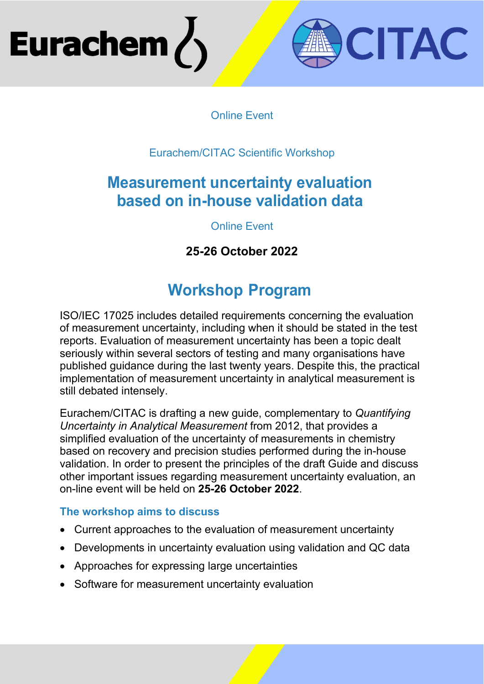# Eurachem



### Online Event

## Eurachem/CITAC Scientific Workshop

## **Measurement uncertainty evaluation based on in-house validation data**

## Online Event

## **25-26 October 2022**

# **Workshop Program**

ISO/IEC 17025 includes detailed requirements concerning the evaluation of measurement uncertainty, including when it should be stated in the test reports. Evaluation of measurement uncertainty has been a topic dealt seriously within several sectors of testing and many organisations have published guidance during the last twenty years. Despite this, the practical implementation of measurement uncertainty in analytical measurement is still debated intensely.

Eurachem/CITAC is drafting a new guide, complementary to *Quantifying Uncertainty in Analytical Measurement* from 2012, that provides a simplified evaluation of the uncertainty of measurements in chemistry based on recovery and precision studies performed during the in-house validation. In order to present the principles of the draft Guide and discuss other important issues regarding measurement uncertainty evaluation, an on-line event will be held on **25-26 October 2022**.

#### **The workshop aims to discuss**

- Current approaches to the evaluation of measurement uncertainty
- Developments in uncertainty evaluation using validation and QC data
- Approaches for expressing large uncertainties
- Software for measurement uncertainty evaluation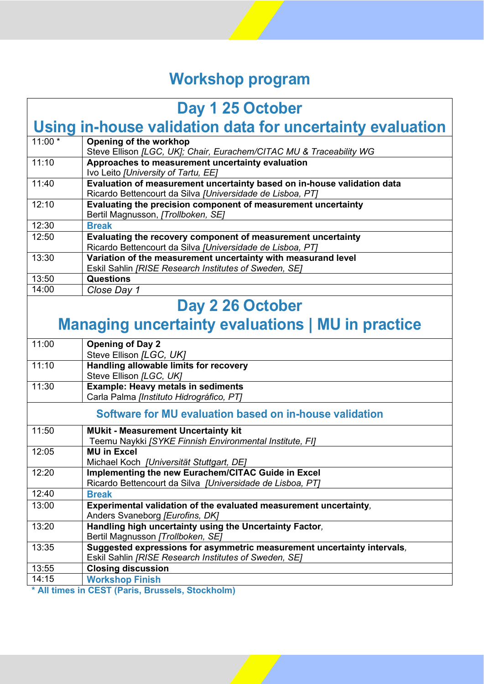# **Workshop program**

| Day 1 25 October                                          |                                                                                                                                      |
|-----------------------------------------------------------|--------------------------------------------------------------------------------------------------------------------------------------|
| Using in-house validation data for uncertainty evaluation |                                                                                                                                      |
| $11:00*$                                                  | Opening of the workhop<br>Steve Ellison [LGC, UK]; Chair, Eurachem/CITAC MU & Traceability WG                                        |
| 11:10                                                     | Approaches to measurement uncertainty evaluation<br>Ivo Leito [University of Tartu, EE]                                              |
| 11:40                                                     | Evaluation of measurement uncertainty based on in-house validation data<br>Ricardo Bettencourt da Silva [Universidade de Lisboa, PT] |
| 12:10                                                     | Evaluating the precision component of measurement uncertainty<br>Bertil Magnusson, [Trollboken, SE]                                  |
| 12:30                                                     | <b>Break</b>                                                                                                                         |
| 12:50                                                     | Evaluating the recovery component of measurement uncertainty<br>Ricardo Bettencourt da Silva [Universidade de Lisboa, PT]            |
| 13:30                                                     | Variation of the measurement uncertainty with measurand level<br>Eskil Sahlin [RISE Research Institutes of Sweden, SE]               |
| 13:50                                                     | Questions                                                                                                                            |
| 14:00                                                     | Close Day 1                                                                                                                          |
| Day 2 26 October                                          |                                                                                                                                      |
| <b>Managing uncertainty evaluations   MU in practice</b>  |                                                                                                                                      |
| 11:00                                                     | <b>Opening of Day 2</b><br>Steve Ellison [LGC, UK]                                                                                   |
| 11:10                                                     | Handling allowable limits for recovery<br>Steve Ellison [LGC, UK]                                                                    |
| 11:30                                                     | <b>Example: Heavy metals in sediments</b><br>Carla Palma [Instituto Hidrográfico, PT]                                                |
| Software for MU evaluation based on in-house validation   |                                                                                                                                      |
| 11:50                                                     | <b>MUkit - Measurement Uncertainty kit</b><br>Teemu Naykki [SYKE Finnish Environmental Institute, FI]                                |
| 12:05                                                     | <b>MU in Excel</b><br>Michael Koch [Universität Stuttgart, DE]                                                                       |
| 12:20                                                     | Implementing the new Eurachem/CITAC Guide in Excel<br>Ricardo Bettencourt da Silva [Universidade de Lisboa, PT]                      |
| 12:40                                                     | <b>Break</b>                                                                                                                         |
| 13:00                                                     | Experimental validation of the evaluated measurement uncertainty,<br>Anders Svaneborg [Eurofins, DK]                                 |
| 13:20                                                     | Handling high uncertainty using the Uncertainty Factor,<br>Bertil Magnusson [Trollboken, SE]                                         |
| 13:35                                                     | Suggested expressions for asymmetric measurement uncertainty intervals,<br>Eskil Sahlin [RISE Research Institutes of Sweden, SE]     |
| 13:55                                                     | <b>Closing discussion</b>                                                                                                            |
| 14:15                                                     | <b>Workshop Finish</b>                                                                                                               |

**\* All times in CEST (Paris, Brussels, Stockholm)**